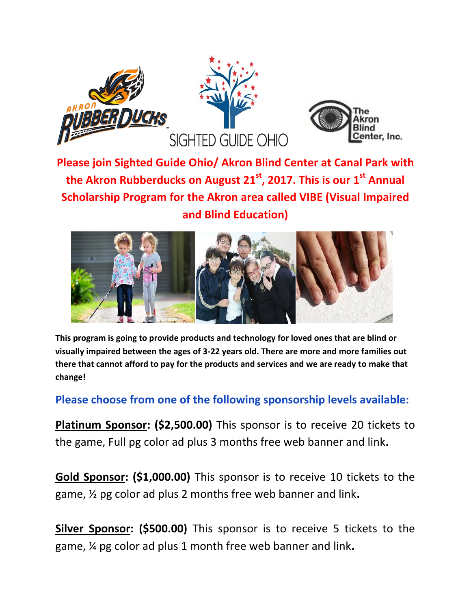



**Please join Sighted Guide Ohio/ Akron Blind Center at Canal Park with the Akron Rubberducks on August 21 st , 2017. This is our 1st Annual Scholarship Program for the Akron area called VIBE (Visual Impaired and Blind Education)**



**This program is going to provide products and technology for loved ones that are blind or visually impaired between the ages of 3-22 years old. There are more and more families out there that cannot afford to pay for the products and services and we are ready to make that change!** 

**Please choose from one of the following sponsorship levels available:**

**Platinum Sponsor: (\$2,500.00)** This sponsor is to receive 20 tickets to the game, Full pg color ad plus 3 months free web banner and link**.**

**Gold Sponsor: (\$1,000.00)** This sponsor is to receive 10 tickets to the game, ½ pg color ad plus 2 months free web banner and link**.**

**Silver Sponsor: (\$500.00)** This sponsor is to receive 5 tickets to the game, ¼ pg color ad plus 1 month free web banner and link**.**